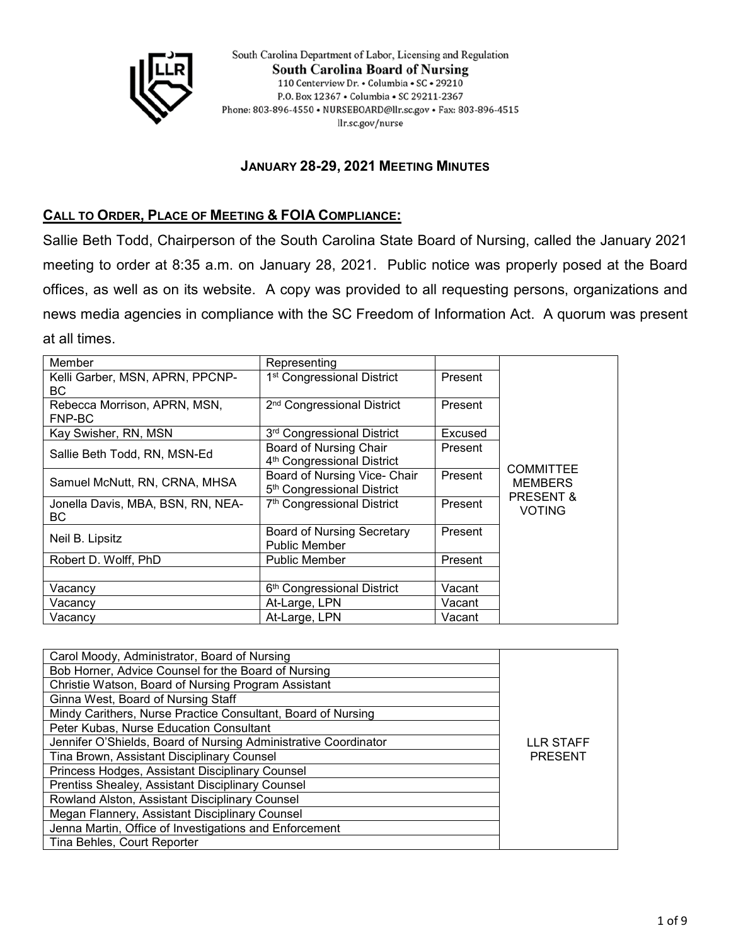

South Carolina Department of Labor, Licensing and Regulation **South Carolina Board of Nursing** 110 Centerview Dr. • Columbia • SC • 29210 P.O. Box 12367 . Columbia . SC 29211-2367 Phone: 803-896-4550 • NURSEBOARD@llr.sc.gov • Fax: 803-896-4515 llr.sc.gov/nurse

# **JANUARY 28-29, 2021 MEETING MINUTES**

# **CALL TO ORDER, PLACE OF MEETING & FOIA COMPLIANCE:**

Sallie Beth Todd, Chairperson of the South Carolina State Board of Nursing, called the January 2021 meeting to order at 8:35 a.m. on January 28, 2021. Public notice was properly posed at the Board offices, as well as on its website. A copy was provided to all requesting persons, organizations and news media agencies in compliance with the SC Freedom of Information Act. A quorum was present at all times.

| Member                            | Representing                           |         |                                    |
|-----------------------------------|----------------------------------------|---------|------------------------------------|
| Kelli Garber, MSN, APRN, PPCNP-   | 1 <sup>st</sup> Congressional District | Present |                                    |
| BC.                               |                                        |         |                                    |
| Rebecca Morrison, APRN, MSN,      | 2 <sup>nd</sup> Congressional District | Present |                                    |
| FNP-BC                            |                                        |         |                                    |
| Kay Swisher, RN, MSN              | 3rd Congressional District             | Excused | <b>COMMITTEE</b><br><b>MEMBERS</b> |
| Sallie Beth Todd, RN, MSN-Ed      | Board of Nursing Chair                 | Present |                                    |
|                                   | 4 <sup>th</sup> Congressional District |         |                                    |
| Samuel McNutt, RN, CRNA, MHSA     | Board of Nursing Vice- Chair           | Present |                                    |
|                                   | 5 <sup>th</sup> Congressional District |         |                                    |
| Jonella Davis, MBA, BSN, RN, NEA- | 7 <sup>th</sup> Congressional District | Present | <b>PRESENT &amp;</b>               |
| BC.                               |                                        |         | <b>VOTING</b>                      |
| Neil B. Lipsitz                   | <b>Board of Nursing Secretary</b>      | Present |                                    |
|                                   | <b>Public Member</b>                   |         |                                    |
| Robert D. Wolff, PhD              | <b>Public Member</b>                   | Present |                                    |
|                                   |                                        |         |                                    |
| Vacancy                           | 6 <sup>th</sup> Congressional District | Vacant  |                                    |
| Vacancy                           | At-Large, LPN                          | Vacant  |                                    |
| Vacancv                           | At-Large, LPN                          | Vacant  |                                    |

| Carol Moody, Administrator, Board of Nursing                    |                |
|-----------------------------------------------------------------|----------------|
| Bob Horner, Advice Counsel for the Board of Nursing             |                |
| Christie Watson, Board of Nursing Program Assistant             |                |
| Ginna West, Board of Nursing Staff                              |                |
| Mindy Carithers, Nurse Practice Consultant, Board of Nursing    |                |
| Peter Kubas, Nurse Education Consultant                         |                |
| Jennifer O'Shields, Board of Nursing Administrative Coordinator | LLR STAFF      |
| Tina Brown, Assistant Disciplinary Counsel                      | <b>PRESENT</b> |
| Princess Hodges, Assistant Disciplinary Counsel                 |                |
| Prentiss Shealey, Assistant Disciplinary Counsel                |                |
| Rowland Alston, Assistant Disciplinary Counsel                  |                |
| Megan Flannery, Assistant Disciplinary Counsel                  |                |
| Jenna Martin, Office of Investigations and Enforcement          |                |
| Tina Behles, Court Reporter                                     |                |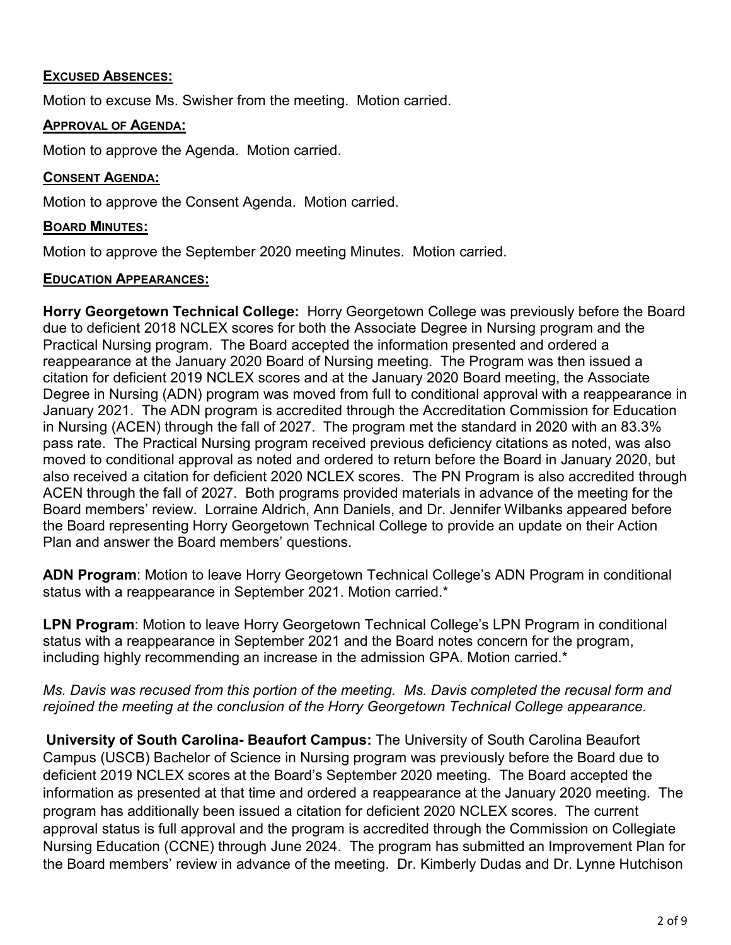## **EXCUSED ABSENCES:**

Motion to excuse Ms. Swisher from the meeting. Motion carried.

## **APPROVAL OF AGENDA:**

Motion to approve the Agenda. Motion carried.

## **CONSENT AGENDA:**

Motion to approve the Consent Agenda. Motion carried.

# **BOARD MINUTES:**

Motion to approve the September 2020 meeting Minutes. Motion carried.

## **EDUCATION APPEARANCES:**

**Horry Georgetown Technical College:** Horry Georgetown College was previously before the Board due to deficient 2018 NCLEX scores for both the Associate Degree in Nursing program and the Practical Nursing program. The Board accepted the information presented and ordered a reappearance at the January 2020 Board of Nursing meeting. The Program was then issued a citation for deficient 2019 NCLEX scores and at the January 2020 Board meeting, the Associate Degree in Nursing (ADN) program was moved from full to conditional approval with a reappearance in January 2021. The ADN program is accredited through the Accreditation Commission for Education in Nursing (ACEN) through the fall of 2027. The program met the standard in 2020 with an 83.3% pass rate. The Practical Nursing program received previous deficiency citations as noted, was also moved to conditional approval as noted and ordered to return before the Board in January 2020, but also received a citation for deficient 2020 NCLEX scores. The PN Program is also accredited through ACEN through the fall of 2027. Both programs provided materials in advance of the meeting for the Board members' review. Lorraine Aldrich, Ann Daniels, and Dr. Jennifer Wilbanks appeared before the Board representing Horry Georgetown Technical College to provide an update on their Action Plan and answer the Board members' questions.

**ADN Program**: Motion to leave Horry Georgetown Technical College's ADN Program in conditional status with a reappearance in September 2021. Motion carried.\*

**LPN Program**: Motion to leave Horry Georgetown Technical College's LPN Program in conditional status with a reappearance in September 2021 and the Board notes concern for the program, including highly recommending an increase in the admission GPA. Motion carried.\*

## *Ms. Davis was recused from this portion of the meeting. Ms. Davis completed the recusal form and rejoined the meeting at the conclusion of the Horry Georgetown Technical College appearance.*

**University of South Carolina- Beaufort Campus:** The University of South Carolina Beaufort Campus (USCB) Bachelor of Science in Nursing program was previously before the Board due to deficient 2019 NCLEX scores at the Board's September 2020 meeting. The Board accepted the information as presented at that time and ordered a reappearance at the January 2020 meeting. The program has additionally been issued a citation for deficient 2020 NCLEX scores. The current approval status is full approval and the program is accredited through the Commission on Collegiate Nursing Education (CCNE) through June 2024. The program has submitted an Improvement Plan for the Board members' review in advance of the meeting. Dr. Kimberly Dudas and Dr. Lynne Hutchison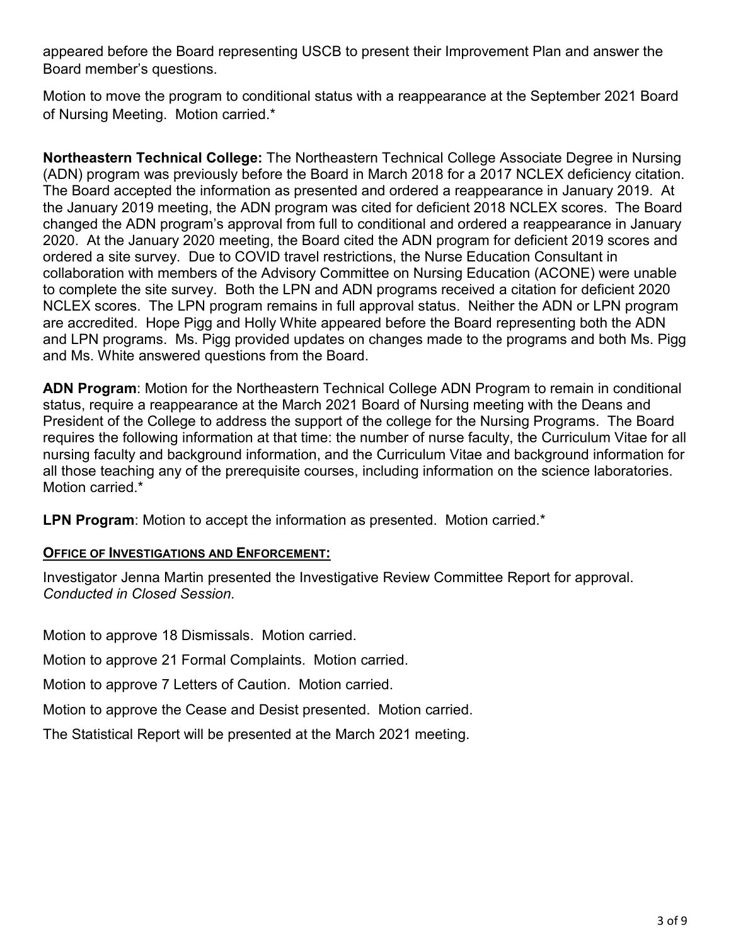appeared before the Board representing USCB to present their Improvement Plan and answer the Board member's questions.

Motion to move the program to conditional status with a reappearance at the September 2021 Board of Nursing Meeting. Motion carried.\*

**Northeastern Technical College:** The Northeastern Technical College Associate Degree in Nursing (ADN) program was previously before the Board in March 2018 for a 2017 NCLEX deficiency citation. The Board accepted the information as presented and ordered a reappearance in January 2019. At the January 2019 meeting, the ADN program was cited for deficient 2018 NCLEX scores. The Board changed the ADN program's approval from full to conditional and ordered a reappearance in January 2020. At the January 2020 meeting, the Board cited the ADN program for deficient 2019 scores and ordered a site survey. Due to COVID travel restrictions, the Nurse Education Consultant in collaboration with members of the Advisory Committee on Nursing Education (ACONE) were unable to complete the site survey. Both the LPN and ADN programs received a citation for deficient 2020 NCLEX scores. The LPN program remains in full approval status. Neither the ADN or LPN program are accredited. Hope Pigg and Holly White appeared before the Board representing both the ADN and LPN programs. Ms. Pigg provided updates on changes made to the programs and both Ms. Pigg and Ms. White answered questions from the Board.

**ADN Program**: Motion for the Northeastern Technical College ADN Program to remain in conditional status, require a reappearance at the March 2021 Board of Nursing meeting with the Deans and President of the College to address the support of the college for the Nursing Programs. The Board requires the following information at that time: the number of nurse faculty, the Curriculum Vitae for all nursing faculty and background information, and the Curriculum Vitae and background information for all those teaching any of the prerequisite courses, including information on the science laboratories. Motion carried.<sup>\*</sup>

**LPN Program**: Motion to accept the information as presented. Motion carried.\*

## **OFFICE OF INVESTIGATIONS AND ENFORCEMENT:**

Investigator Jenna Martin presented the Investigative Review Committee Report for approval. *Conducted in Closed Session.*

Motion to approve 18 Dismissals. Motion carried.

Motion to approve 21 Formal Complaints. Motion carried.

Motion to approve 7 Letters of Caution. Motion carried.

Motion to approve the Cease and Desist presented. Motion carried.

The Statistical Report will be presented at the March 2021 meeting.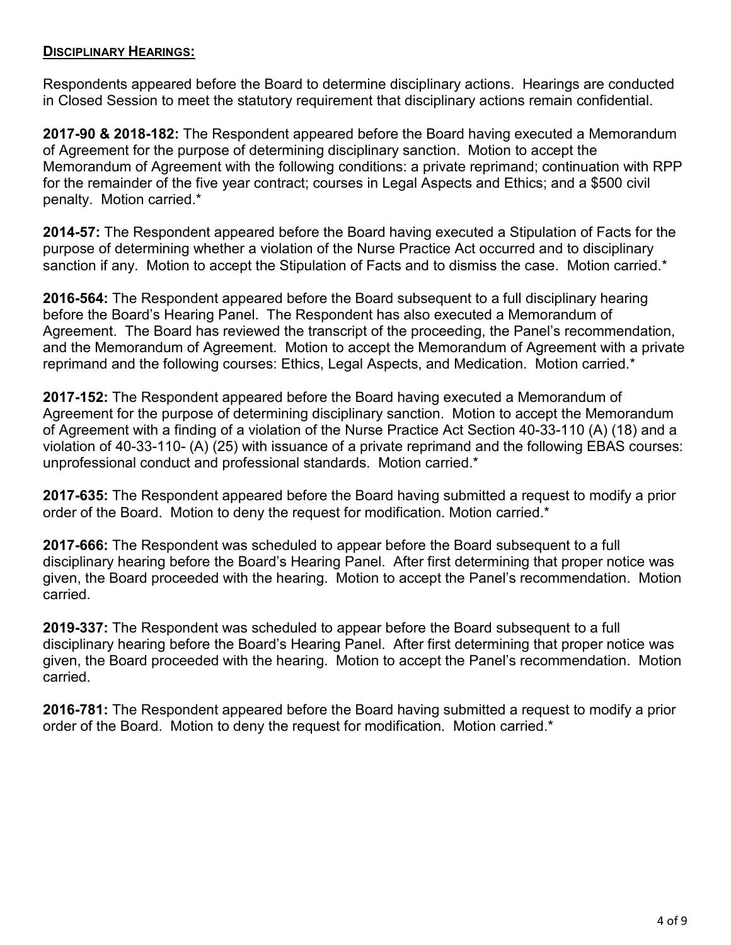## **DISCIPLINARY HEARINGS:**

Respondents appeared before the Board to determine disciplinary actions. Hearings are conducted in Closed Session to meet the statutory requirement that disciplinary actions remain confidential.

**2017-90 & 2018-182:** The Respondent appeared before the Board having executed a Memorandum of Agreement for the purpose of determining disciplinary sanction. Motion to accept the Memorandum of Agreement with the following conditions: a private reprimand; continuation with RPP for the remainder of the five year contract; courses in Legal Aspects and Ethics; and a \$500 civil penalty. Motion carried.\*

**2014-57:** The Respondent appeared before the Board having executed a Stipulation of Facts for the purpose of determining whether a violation of the Nurse Practice Act occurred and to disciplinary sanction if any. Motion to accept the Stipulation of Facts and to dismiss the case. Motion carried.\*

**2016-564:** The Respondent appeared before the Board subsequent to a full disciplinary hearing before the Board's Hearing Panel. The Respondent has also executed a Memorandum of Agreement. The Board has reviewed the transcript of the proceeding, the Panel's recommendation, and the Memorandum of Agreement. Motion to accept the Memorandum of Agreement with a private reprimand and the following courses: Ethics, Legal Aspects, and Medication. Motion carried.\*

**2017-152:** The Respondent appeared before the Board having executed a Memorandum of Agreement for the purpose of determining disciplinary sanction. Motion to accept the Memorandum of Agreement with a finding of a violation of the Nurse Practice Act Section 40-33-110 (A) (18) and a violation of 40-33-110- (A) (25) with issuance of a private reprimand and the following EBAS courses: unprofessional conduct and professional standards. Motion carried.\*

**2017-635:** The Respondent appeared before the Board having submitted a request to modify a prior order of the Board. Motion to deny the request for modification. Motion carried.\*

**2017-666:** The Respondent was scheduled to appear before the Board subsequent to a full disciplinary hearing before the Board's Hearing Panel. After first determining that proper notice was given, the Board proceeded with the hearing. Motion to accept the Panel's recommendation. Motion carried.

**2019-337:** The Respondent was scheduled to appear before the Board subsequent to a full disciplinary hearing before the Board's Hearing Panel. After first determining that proper notice was given, the Board proceeded with the hearing. Motion to accept the Panel's recommendation. Motion carried.

**2016-781:** The Respondent appeared before the Board having submitted a request to modify a prior order of the Board. Motion to deny the request for modification. Motion carried.\*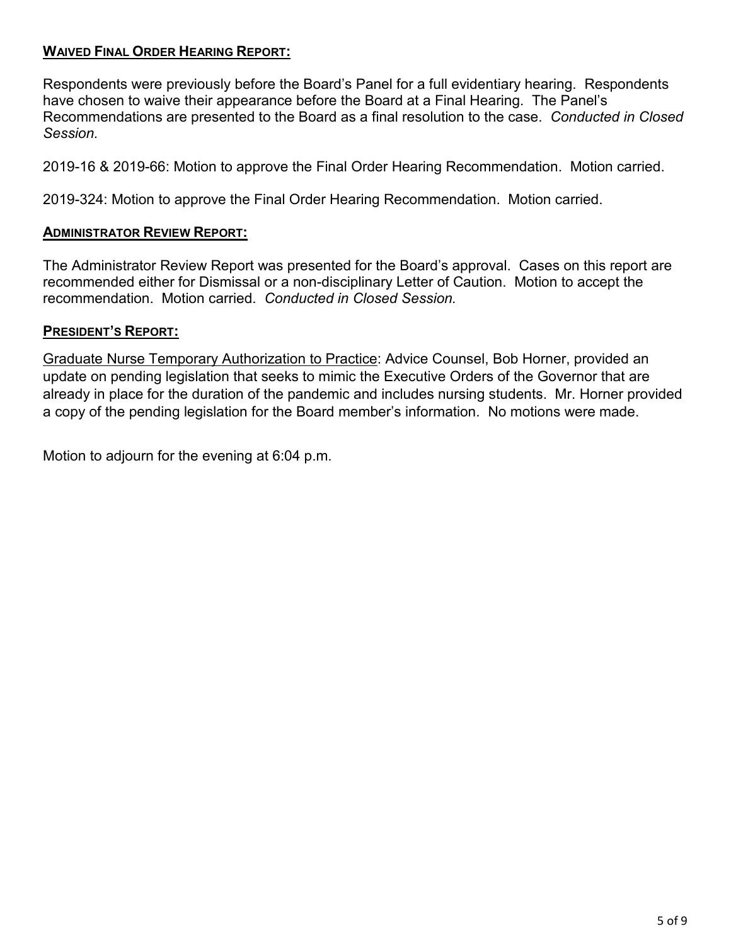# **WAIVED FINAL ORDER HEARING REPORT:**

Respondents were previously before the Board's Panel for a full evidentiary hearing. Respondents have chosen to waive their appearance before the Board at a Final Hearing. The Panel's Recommendations are presented to the Board as a final resolution to the case. *Conducted in Closed Session.*

2019-16 & 2019-66: Motion to approve the Final Order Hearing Recommendation. Motion carried.

2019-324: Motion to approve the Final Order Hearing Recommendation. Motion carried.

#### **ADMINISTRATOR REVIEW REPORT:**

The Administrator Review Report was presented for the Board's approval. Cases on this report are recommended either for Dismissal or a non-disciplinary Letter of Caution. Motion to accept the recommendation. Motion carried. *Conducted in Closed Session.*

#### **PRESIDENT'S REPORT:**

Graduate Nurse Temporary Authorization to Practice: Advice Counsel, Bob Horner, provided an update on pending legislation that seeks to mimic the Executive Orders of the Governor that are already in place for the duration of the pandemic and includes nursing students. Mr. Horner provided a copy of the pending legislation for the Board member's information. No motions were made.

Motion to adjourn for the evening at 6:04 p.m.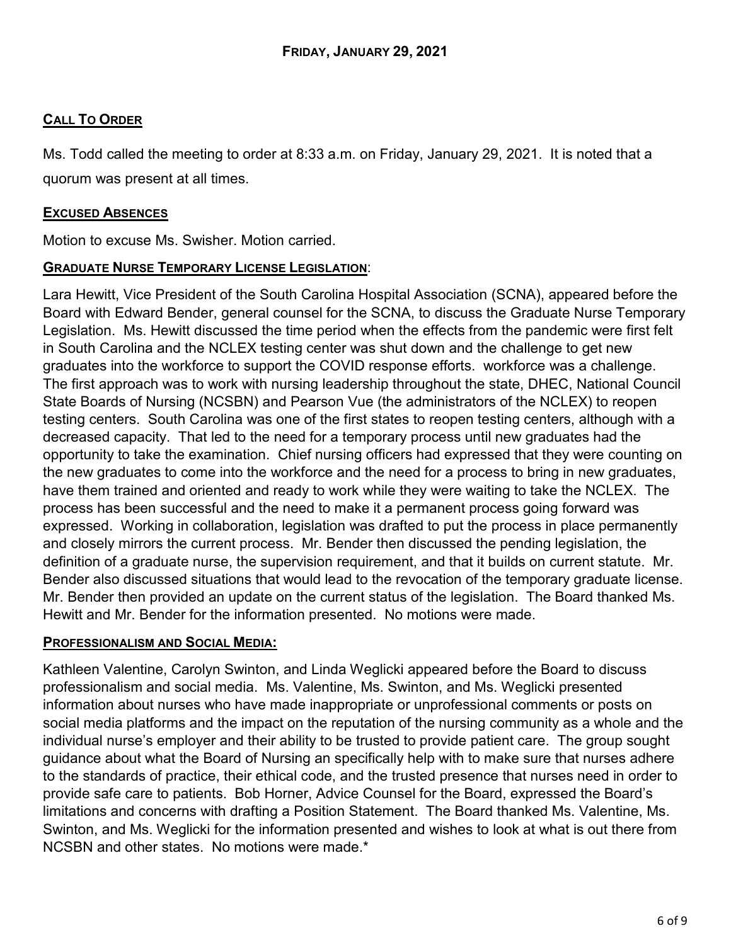# **CALL TO ORDER**

Ms. Todd called the meeting to order at 8:33 a.m. on Friday, January 29, 2021. It is noted that a quorum was present at all times.

# **EXCUSED ABSENCES**

Motion to excuse Ms. Swisher. Motion carried.

# **GRADUATE NURSE TEMPORARY LICENSE LEGISLATION**:

Lara Hewitt, Vice President of the South Carolina Hospital Association (SCNA), appeared before the Board with Edward Bender, general counsel for the SCNA, to discuss the Graduate Nurse Temporary Legislation. Ms. Hewitt discussed the time period when the effects from the pandemic were first felt in South Carolina and the NCLEX testing center was shut down and the challenge to get new graduates into the workforce to support the COVID response efforts. workforce was a challenge. The first approach was to work with nursing leadership throughout the state, DHEC, National Council State Boards of Nursing (NCSBN) and Pearson Vue (the administrators of the NCLEX) to reopen testing centers. South Carolina was one of the first states to reopen testing centers, although with a decreased capacity. That led to the need for a temporary process until new graduates had the opportunity to take the examination. Chief nursing officers had expressed that they were counting on the new graduates to come into the workforce and the need for a process to bring in new graduates, have them trained and oriented and ready to work while they were waiting to take the NCLEX. The process has been successful and the need to make it a permanent process going forward was expressed. Working in collaboration, legislation was drafted to put the process in place permanently and closely mirrors the current process. Mr. Bender then discussed the pending legislation, the definition of a graduate nurse, the supervision requirement, and that it builds on current statute. Mr. Bender also discussed situations that would lead to the revocation of the temporary graduate license. Mr. Bender then provided an update on the current status of the legislation. The Board thanked Ms. Hewitt and Mr. Bender for the information presented. No motions were made.

## **PROFESSIONALISM AND SOCIAL MEDIA:**

Kathleen Valentine, Carolyn Swinton, and Linda Weglicki appeared before the Board to discuss professionalism and social media. Ms. Valentine, Ms. Swinton, and Ms. Weglicki presented information about nurses who have made inappropriate or unprofessional comments or posts on social media platforms and the impact on the reputation of the nursing community as a whole and the individual nurse's employer and their ability to be trusted to provide patient care. The group sought guidance about what the Board of Nursing an specifically help with to make sure that nurses adhere to the standards of practice, their ethical code, and the trusted presence that nurses need in order to provide safe care to patients. Bob Horner, Advice Counsel for the Board, expressed the Board's limitations and concerns with drafting a Position Statement. The Board thanked Ms. Valentine, Ms. Swinton, and Ms. Weglicki for the information presented and wishes to look at what is out there from NCSBN and other states. No motions were made.\*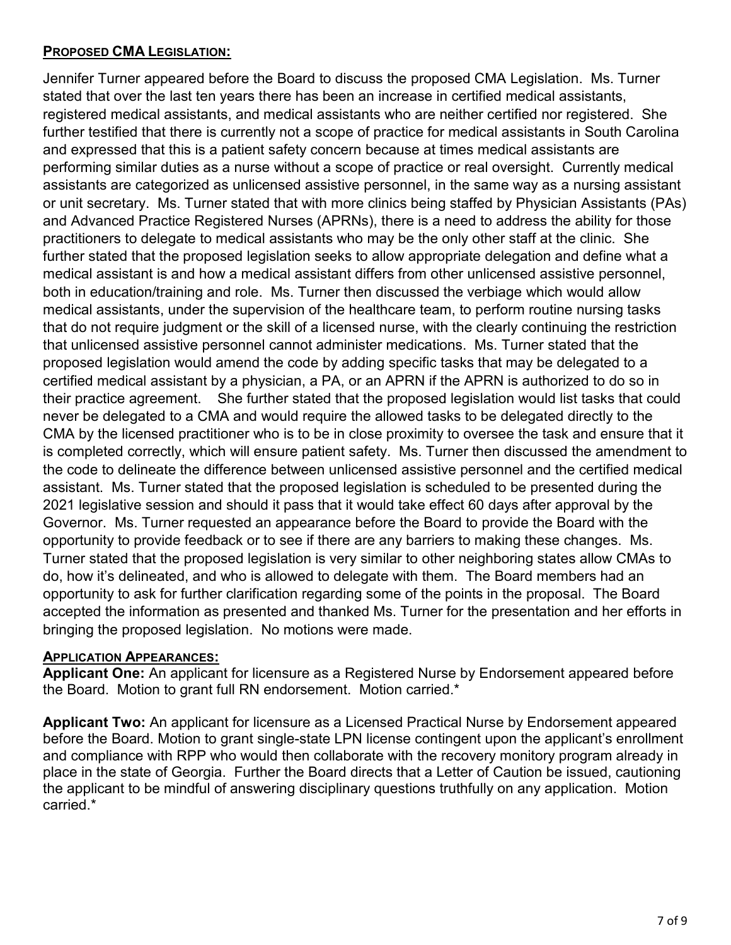# **PROPOSED CMA LEGISLATION:**

Jennifer Turner appeared before the Board to discuss the proposed CMA Legislation. Ms. Turner stated that over the last ten years there has been an increase in certified medical assistants, registered medical assistants, and medical assistants who are neither certified nor registered. She further testified that there is currently not a scope of practice for medical assistants in South Carolina and expressed that this is a patient safety concern because at times medical assistants are performing similar duties as a nurse without a scope of practice or real oversight. Currently medical assistants are categorized as unlicensed assistive personnel, in the same way as a nursing assistant or unit secretary. Ms. Turner stated that with more clinics being staffed by Physician Assistants (PAs) and Advanced Practice Registered Nurses (APRNs), there is a need to address the ability for those practitioners to delegate to medical assistants who may be the only other staff at the clinic. She further stated that the proposed legislation seeks to allow appropriate delegation and define what a medical assistant is and how a medical assistant differs from other unlicensed assistive personnel, both in education/training and role. Ms. Turner then discussed the verbiage which would allow medical assistants, under the supervision of the healthcare team, to perform routine nursing tasks that do not require judgment or the skill of a licensed nurse, with the clearly continuing the restriction that unlicensed assistive personnel cannot administer medications. Ms. Turner stated that the proposed legislation would amend the code by adding specific tasks that may be delegated to a certified medical assistant by a physician, a PA, or an APRN if the APRN is authorized to do so in their practice agreement. She further stated that the proposed legislation would list tasks that could never be delegated to a CMA and would require the allowed tasks to be delegated directly to the CMA by the licensed practitioner who is to be in close proximity to oversee the task and ensure that it is completed correctly, which will ensure patient safety. Ms. Turner then discussed the amendment to the code to delineate the difference between unlicensed assistive personnel and the certified medical assistant. Ms. Turner stated that the proposed legislation is scheduled to be presented during the 2021 legislative session and should it pass that it would take effect 60 days after approval by the Governor. Ms. Turner requested an appearance before the Board to provide the Board with the opportunity to provide feedback or to see if there are any barriers to making these changes. Ms. Turner stated that the proposed legislation is very similar to other neighboring states allow CMAs to do, how it's delineated, and who is allowed to delegate with them. The Board members had an opportunity to ask for further clarification regarding some of the points in the proposal. The Board accepted the information as presented and thanked Ms. Turner for the presentation and her efforts in bringing the proposed legislation. No motions were made.

## **APPLICATION APPEARANCES:**

**Applicant One:** An applicant for licensure as a Registered Nurse by Endorsement appeared before the Board. Motion to grant full RN endorsement. Motion carried.\*

**Applicant Two:** An applicant for licensure as a Licensed Practical Nurse by Endorsement appeared before the Board. Motion to grant single-state LPN license contingent upon the applicant's enrollment and compliance with RPP who would then collaborate with the recovery monitory program already in place in the state of Georgia. Further the Board directs that a Letter of Caution be issued, cautioning the applicant to be mindful of answering disciplinary questions truthfully on any application. Motion carried.\*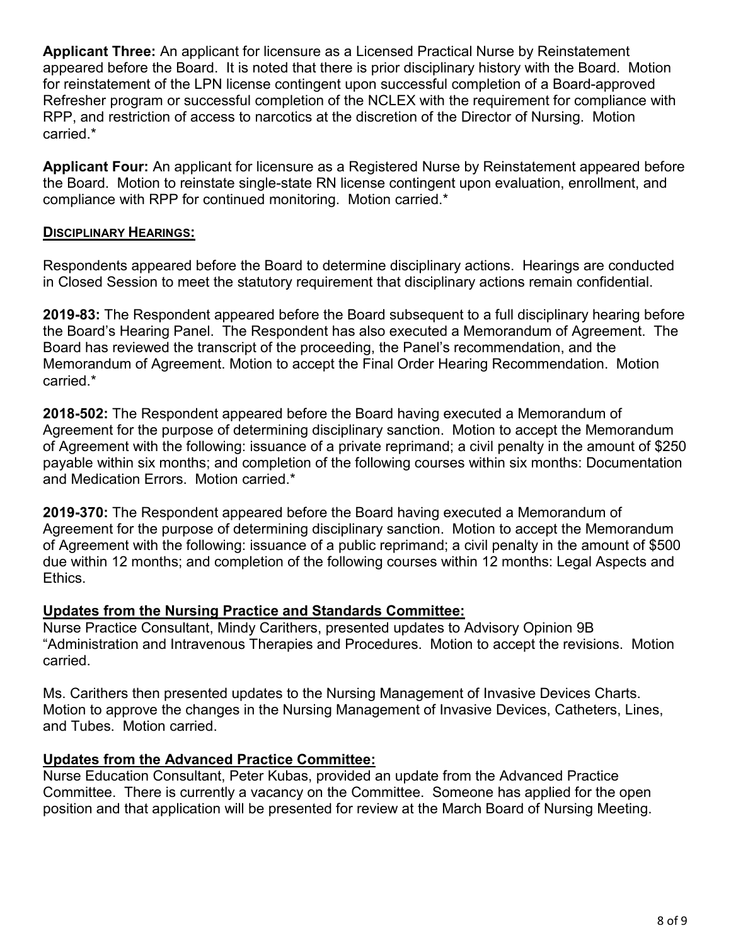**Applicant Three:** An applicant for licensure as a Licensed Practical Nurse by Reinstatement appeared before the Board. It is noted that there is prior disciplinary history with the Board. Motion for reinstatement of the LPN license contingent upon successful completion of a Board-approved Refresher program or successful completion of the NCLEX with the requirement for compliance with RPP, and restriction of access to narcotics at the discretion of the Director of Nursing. Motion carried.\*

**Applicant Four:** An applicant for licensure as a Registered Nurse by Reinstatement appeared before the Board. Motion to reinstate single-state RN license contingent upon evaluation, enrollment, and compliance with RPP for continued monitoring. Motion carried.\*

## **DISCIPLINARY HEARINGS:**

Respondents appeared before the Board to determine disciplinary actions. Hearings are conducted in Closed Session to meet the statutory requirement that disciplinary actions remain confidential.

**2019-83:** The Respondent appeared before the Board subsequent to a full disciplinary hearing before the Board's Hearing Panel. The Respondent has also executed a Memorandum of Agreement. The Board has reviewed the transcript of the proceeding, the Panel's recommendation, and the Memorandum of Agreement. Motion to accept the Final Order Hearing Recommendation. Motion carried.\*

**2018-502:** The Respondent appeared before the Board having executed a Memorandum of Agreement for the purpose of determining disciplinary sanction. Motion to accept the Memorandum of Agreement with the following: issuance of a private reprimand; a civil penalty in the amount of \$250 payable within six months; and completion of the following courses within six months: Documentation and Medication Errors. Motion carried.\*

**2019-370:** The Respondent appeared before the Board having executed a Memorandum of Agreement for the purpose of determining disciplinary sanction. Motion to accept the Memorandum of Agreement with the following: issuance of a public reprimand; a civil penalty in the amount of \$500 due within 12 months; and completion of the following courses within 12 months: Legal Aspects and Ethics.

# **Updates from the Nursing Practice and Standards Committee:**

Nurse Practice Consultant, Mindy Carithers, presented updates to Advisory Opinion 9B "Administration and Intravenous Therapies and Procedures. Motion to accept the revisions. Motion carried.

Ms. Carithers then presented updates to the Nursing Management of Invasive Devices Charts. Motion to approve the changes in the Nursing Management of Invasive Devices, Catheters, Lines, and Tubes. Motion carried.

# **Updates from the Advanced Practice Committee:**

Nurse Education Consultant, Peter Kubas, provided an update from the Advanced Practice Committee. There is currently a vacancy on the Committee. Someone has applied for the open position and that application will be presented for review at the March Board of Nursing Meeting.